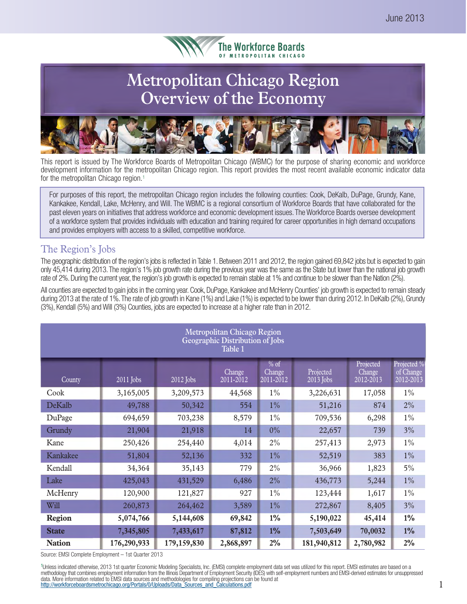

# **Metropolitan Chicago Region Overview of the Economy**



This report is issued by The Workforce Boards of Metropolitan Chicago (WBMC) for the purpose of sharing economic and workforce development information for the metropolitan Chicago region. This report provides the most recent available economic indicator data for the metropolitan Chicago region.<sup>1</sup>

For purposes of this report, the metropolitan Chicago region includes the following counties: Cook, DeKalb, DuPage, Grundy, Kane, Kankakee, Kendall, Lake, McHenry, and Will. The WBMC is a regional consortium of Workforce Boards that have collaborated for the past eleven years on initiatives that address workforce and economic development issues. The Workforce Boards oversee development of a workforce system that provides individuals with education and training required for career opportunities in high demand occupations and provides employers with access to a skilled, competitive workforce.

### The Region's Jobs

The geographic distribution of the region's jobs is reflected in Table 1. Between 2011 and 2012, the region gained 69,842 jobs but is expected to gain only 45,414 during 2013. The region's 1% job growth rate during the previous year was the same as the State but lower than the national job growth rate of 2%. During the current year, the region's job growth is expected to remain stable at 1% and continue to be slower than the Nation (2%).

All counties are expected to gain jobs in the coming year. Cook, DuPage, Kankakee and McHenry Counties' job growth is expected to remain steady during 2013 at the rate of 1%. The rate of job growth in Kane (1%) and Lake (1%) is expected to be lower than during 2012. In DeKalb (2%), Grundy (3%), Kendall (5%) and Will (3%) Counties, jobs are expected to increase at a higher rate than in 2012.

| <b>Metropolitan Chicago Region</b><br>Geographic Distribution of Jobs<br>Table 1 |             |             |                     |                               |                        |                                  |                                       |  |
|----------------------------------------------------------------------------------|-------------|-------------|---------------------|-------------------------------|------------------------|----------------------------------|---------------------------------------|--|
| County                                                                           | 2011 Jobs   | 2012 Jobs   | Change<br>2011-2012 | $%$ of<br>Change<br>2011-2012 | Projected<br>2013 Jobs | Projected<br>Change<br>2012-2013 | Projected %<br>of Change<br>2012-2013 |  |
| Cook                                                                             | 3,165,005   | 3,209,573   | 44,568              | $1\%$                         | 3,226,631              | 17,058                           | $1\%$                                 |  |
| DeKalb                                                                           | 49,788      | 50,342      | 554                 | $1\%$                         | 51,216                 | 874                              | 2%                                    |  |
| DuPage                                                                           | 694,659     | 703,238     | 8,579               | $1\%$                         | 709,536                | 6,298                            | $1\%$                                 |  |
| Grundy                                                                           | 21,904      | 21,918      | 14                  | $0\%$                         | 22,657                 | 739                              | 3%                                    |  |
| Kane                                                                             | 250,426     | 254,440     | 4,014               | 2%                            | 257,413                | 2,973                            | $1\%$                                 |  |
| Kankakee                                                                         | 51,804      | 52,136      | 332                 | $1\%$                         | 52,519                 | 383                              | $1\%$                                 |  |
| Kendall                                                                          | 34,364      | 35,143      | 779                 | 2%                            | 36,966                 | 1,823                            | $5\%$                                 |  |
| Lake                                                                             | 425,043     | 431,529     | 6,486               | 2%                            | 436,773                | 5,244                            | $1\%$                                 |  |
| McHenry                                                                          | 120,900     | 121,827     | 927                 | $1\%$                         | 123,444                | 1,617                            | $1\%$                                 |  |
| Will                                                                             | 260,873     | 264,462     | 3,589               | $1\%$                         | 272,867                | 8,405                            | 3%                                    |  |
| <b>Region</b>                                                                    | 5,074,766   | 5,144,608   | 69,842              | $1\%$                         | 5,190,022              | 45,414                           | $1\%$                                 |  |
| <b>State</b>                                                                     | 7,345,805   | 7,433,617   | 87,812              | $1\%$                         | 7,503,649              | 70,0032                          | $1\%$                                 |  |
| <b>Nation</b>                                                                    | 176,290,933 | 179,159,830 | 2,868,897           | $2\%$                         | 181,940,812            | 2,780,982                        | $2\%$                                 |  |

Source: EMSI Complete Employment – 1st Quarter 2013

<sup>1</sup>Unless indicated otherwise, 2013 1st quarter Economic Modeling Specialists, Inc. (EMSI) complete employment data set was utilized for this report. EMSI estimates are based on a methodology that combines employment information from the Illinois Department of Employment Security (IDES) with self-employment numbers and EMSI-derived estimates for unsuppressed data. More information related to EMSI data sources and methodologies for compiling projections can be found at<br>http://workforceboardsmetrochicago.org/Portals/0/Uploads/Data\_Sources\_and\_Calculations.pdf 0001000000000000000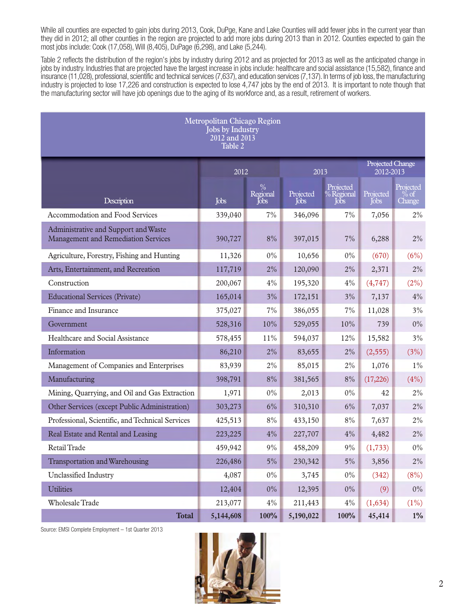While all counties are expected to gain jobs during 2013, Cook, DuPge, Kane and Lake Counties will add fewer jobs in the current year than they did in 2012; all other counties in the region are projected to add more jobs during 2013 than in 2012. Counties expected to gain the most jobs include: Cook (17,058), Will (8,405), DuPage (6,298), and Lake (5,244).

Table 2 reflects the distribution of the region's jobs by industry during 2012 and as projected for 2013 as well as the anticipated change in jobs by industry. Industries that are projected have the largest increase in jobs include: healthcare and social assistance (15,582), finance and insurance (11,028), professional, scientific and technical services (7,637), and education services (7,137). In terms of job loss, the manufacturing industry is projected to lose 17,226 and construction is expected to lose 4,747 jobs by the end of 2013. It is important to note though that the manufacturing sector will have job openings due to the aging of its workforce and, as a result, retirement of workers.

| <b>Metropolitan Chicago Region</b><br><b>Jobs by Industry</b><br>2012 and 2013<br>Table 2 |           |                                            |                   |                                 |                   |                                     |  |  |
|-------------------------------------------------------------------------------------------|-----------|--------------------------------------------|-------------------|---------------------------------|-------------------|-------------------------------------|--|--|
|                                                                                           |           | 2012<br>2013                               |                   |                                 |                   |                                     |  |  |
| Description                                                                               | Jobs      | $\%$<br>Regional<br>$\int$ <sub>O</sub> bs | Projected<br>Jobs | Projected<br>% Régional<br>Jobs | Projected<br>Jobs | Projected<br>$\%$ of $\,$<br>Change |  |  |
| Accommodation and Food Services                                                           | 339,040   | 7%                                         | 346,096           | 7%                              | 7,056             | 2%                                  |  |  |
| Administrative and Support and Waste<br><b>Management and Remediation Services</b>        | 390,727   | 8%                                         | 397,015           | 7%                              | 6,288             | $2\%$                               |  |  |
| Agriculture, Forestry, Fishing and Hunting                                                | 11,326    | $0\%$                                      | 10,656            | $0\%$                           | (670)             | (6%)                                |  |  |
| Arts, Entertainment, and Recreation                                                       | 117,719   | 2%                                         | 120,090           | $2\%$                           | 2,371             | $2\%$                               |  |  |
| Construction                                                                              | 200,067   | 4%                                         | 195,320           | 4%                              | (4, 747)          | (2%)                                |  |  |
| <b>Educational Services (Private)</b>                                                     | 165,014   | 3%                                         | 172,151           | $3\%$                           | 7,137             | 4%                                  |  |  |
| Finance and Insurance                                                                     | 375,027   | 7%                                         | 386,055           | 7%                              | 11,028            | 3%                                  |  |  |
| Government                                                                                | 528,316   | 10%                                        | 529,055           | 10%                             | 739               | $0\%$                               |  |  |
| Healthcare and Social Assistance                                                          | 578,455   | $11\%$                                     | 594,037           | 12%                             | 15,582            | 3%                                  |  |  |
| Information                                                                               | 86,210    | 2%                                         | 83,655            | $2\%$                           | (2, 555)          | (3%)                                |  |  |
| Management of Companies and Enterprises                                                   | 83,939    | 2%                                         | 85,015            | $2\%$                           | 1,076             | $1\%$                               |  |  |
| Manufacturing                                                                             | 398,791   | $8\%$                                      | 381,565           | $8\%$                           | (17,226)          | (4%)                                |  |  |
| Mining, Quarrying, and Oil and Gas Extraction                                             | 1,971     | $0\%$                                      | 2,013             | $0\%$                           | 42                | $2\%$                               |  |  |
| Other Services (except Public Administration)                                             | 303,273   | 6%                                         | 310,310           | $6\%$                           | 7,037             | $2\%$                               |  |  |
| Professional, Scientific, and Technical Services                                          | 425,513   | $8\%$                                      | 433,150           | $8\%$                           | 7,637             | $2\%$                               |  |  |
| Real Estate and Rental and Leasing                                                        | 223,225   | 4%                                         | 227,707           | $4\%$                           | 4,482             | $2\%$                               |  |  |
| Retail Trade                                                                              | 459,942   | 9%                                         | 458,209           | 9%                              | (1, 733)          | $0\%$                               |  |  |
| Transportation and Warehousing                                                            | 226,486   | $5\%$                                      | 230,342           | $5\%$                           | 3,856             | $2\%$                               |  |  |
| Unclassified Industry                                                                     | 4,087     | $0\%$                                      | 3,745             | $0\%$                           | (342)             | (8%)                                |  |  |
| <b>Utilities</b>                                                                          | 12,404    | $0\%$                                      | 12,395            | $0\%$                           | (9)               | $0\%$                               |  |  |
| Wholesale Trade                                                                           | 213,077   | 4%                                         | 211,443           | $4\%$                           | (1,634)           | $(1\%)$                             |  |  |
| <b>Total</b>                                                                              | 5,144,608 | 100%                                       | 5,190,022         | 100%                            | 45,414            | $1\%$                               |  |  |

Source: EMSI Complete Employment – 1st Quarter 2013

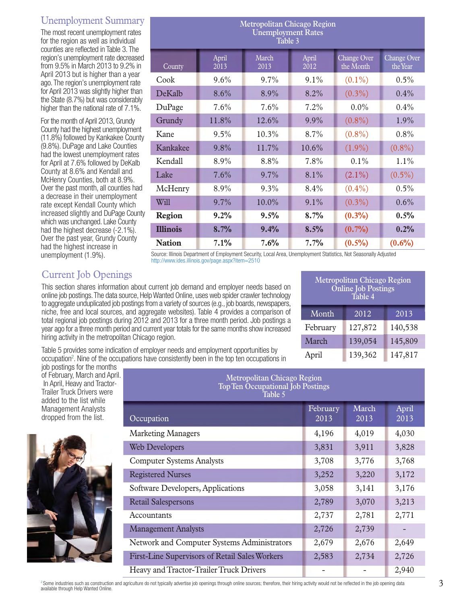# Unemployment Summary

The most recent unemployment rates for the region as well as individual counties are reflected in Table 3. The region's unemployment rate decreased from 9.5% in March 2013 to 9.2% in April 2013 but is higher than a year ago. The region's unemployment rate for April 2013 was slightly higher than the State (8.7%) but was considerably higher than the national rate of 7.1%.

For the month of April 2013, Grundy County had the highest unemployment (11.8%) followed by Kankakee County (9.8%). DuPage and Lake Counties had the lowest unemployment rates for April at 7.6% followed by DeKalb County at 8.6% and Kendall and McHenry Counties, both at 8.9%. Over the past month, all counties had a decrease in their unemployment rate except Kendall County which increased slightly and DuPage County which was unchanged. Lake County had the highest decrease (-2.1%). Over the past year, Grundy County had the highest increase in unemployment (1.9%).

| <b>Metropolitan Chicago Region</b><br><b>Unemployment Rates</b><br>Table 3 |               |               |               |                          |                                |  |  |  |
|----------------------------------------------------------------------------|---------------|---------------|---------------|--------------------------|--------------------------------|--|--|--|
| County                                                                     | April<br>2013 | March<br>2013 | April<br>2012 | Change Over<br>the Month | <b>Change Over</b><br>the Year |  |  |  |
| Cook                                                                       | $9.6\%$       | 9.7%          | $9.1\%$       | $(0.1\%)$                | 0.5%                           |  |  |  |
| DeKalb                                                                     | 8.6%          | 8.9%          | 8.2%          | $(0.3\%)$                | 0.4%                           |  |  |  |
| DuPage                                                                     | 7.6%          | 7.6%          | 7.2%          | $0.0\%$                  | 0.4%                           |  |  |  |
| Grundy                                                                     | 11.8%         | 12.6%         | 9.9%          | $(0.8\%)$                | 1.9%                           |  |  |  |
| Kane                                                                       | 9.5%          | 10.3%         | 8.7%          | $(0.8\%)$                | 0.8%                           |  |  |  |
| Kankakee                                                                   | 9.8%          | 11.7%         | 10.6%         | $(1.9\%)$                | $(0.8\%)$                      |  |  |  |
| Kendall                                                                    | 8.9%          | 8.8%          | 7.8%          | $0.1\%$                  | 1.1%                           |  |  |  |
| Lake                                                                       | 7.6%          | 9.7%          | 8.1%          | $(2.1\%)$                | $(0.5\%)$                      |  |  |  |
| McHenry                                                                    | 8.9%          | $9.3\%$       | 8.4%          | $(0.4\%)$                | $0.5\%$                        |  |  |  |
| Will                                                                       | 9.7%          | 10.0%         | 9.1%          | $(0.3\%)$                | 0.6%                           |  |  |  |
| Region                                                                     | 9.2%          | 9.5%          | 8.7%          | $(0.3\%)$                | 0.5%                           |  |  |  |
| <b>Illinois</b>                                                            | 8.7%          | 9.4%          | 8.5%          | (0.7%)                   | 0.2%                           |  |  |  |
| <b>Nation</b>                                                              | 7.1%          | 7.6%          | 7.7%          | $(0.5\%)$                | $(0.6\%)$                      |  |  |  |

Source: Illinois Department of Employment Security, Local Area, Unemployment Statistics, Not Seasonally Adjusted http://www.ides.illinois.gov/page.aspx?item=2510

# Current Job Openings

This section shares information about current job demand and employer needs based on online job postings. The data source, Help Wanted Online, uses web spider crawler technology to aggregate unduplicated job postings from a variety of sources (e.g., job boards, newspapers, niche, free and local sources, and aggregate websites). Table 4 provides a comparison of total regional job postings during 2012 and 2013 for a three month period. Job postings a year ago for a three month period and current year totals for the same months show increased hiring activity in the metropolitan Chicago region.

Table 5 provides some indication of employer needs and employment opportunities by occupation<sup>2</sup>. Nine of the occupations have consistently been in the top ten occupations in

job postings for the months of February, March and April. In April, Heavy and Tractor-Trailer Truck Drivers were added to the list while Management Analysts dropped from the list.



| <b>Metropolitan Chicago Region</b><br><b>Top Ten Occupational Job Postings</b><br>Table 5 |                  |               |               |  |  |  |  |
|-------------------------------------------------------------------------------------------|------------------|---------------|---------------|--|--|--|--|
| Occupation                                                                                | February<br>2013 | March<br>2013 | April<br>2013 |  |  |  |  |
| <b>Marketing Managers</b>                                                                 | 4,196            | 4,019         | 4,030         |  |  |  |  |
| <b>Web Developers</b>                                                                     | 3,831            | 3,911         | 3,828         |  |  |  |  |
| <b>Computer Systems Analysts</b>                                                          | 3,708            | 3,776         | 3,768         |  |  |  |  |
| <b>Registered Nurses</b>                                                                  | 3,252            | 3,220         | 3,172         |  |  |  |  |
| Software Developers, Applications                                                         | 3,058            | 3,141         | 3,176         |  |  |  |  |
| <b>Retail Salespersons</b>                                                                | 2,789            | 3,070         | 3,213         |  |  |  |  |
| Accountants                                                                               | 2,737            | 2,781         | 2,771         |  |  |  |  |
| <b>Management Analysts</b>                                                                | 2,726            | 2,739         |               |  |  |  |  |
| Network and Computer Systems Administrators                                               | 2,679            | 2,676         | 2,649         |  |  |  |  |
| First-Line Supervisors of Retail Sales Workers                                            | 2,583            | 2,734         | 2,726         |  |  |  |  |
| Heavy and Tractor-Trailer Truck Drivers                                                   |                  |               | 2,940         |  |  |  |  |

| <b>Metropolitan Chicago Region</b><br><b>Online Job Postings</b><br>Table 4 |         |         |  |  |  |  |
|-----------------------------------------------------------------------------|---------|---------|--|--|--|--|
| Month                                                                       | 2012    | 2013    |  |  |  |  |
| February                                                                    | 127,872 | 140,538 |  |  |  |  |
| March                                                                       | 139,054 | 145,809 |  |  |  |  |
| April                                                                       | 139,362 | 147,817 |  |  |  |  |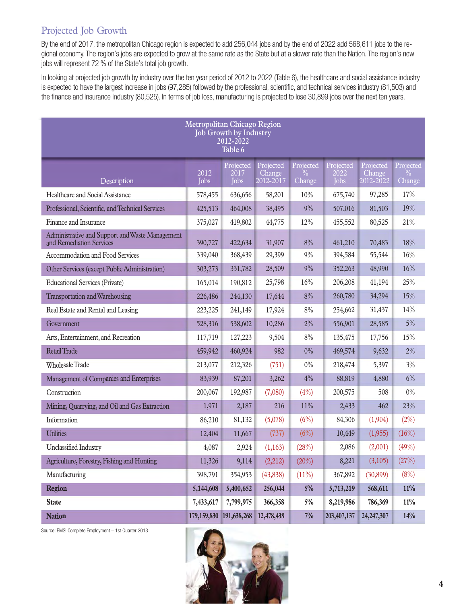# Projected Job Growth

By the end of 2017, the metropolitan Chicago region is expected to add 256,044 jobs and by the end of 2022 add 568,611 jobs to the regional economy. The region's jobs are expected to grow at the same rate as the State but at a slower rate than the Nation. The region's new jobs will represent 72 % of the State's total job growth.

In looking at projected job growth by industry over the ten year period of 2012 to 2022 (Table 6), the healthcare and social assistance industry is expected to have the largest increase in jobs (97,285) followed by the professional, scientific, and technical services industry (81,503) and the finance and insurance industry (80,525). In terms of job loss, manufacturing is projected to lose 30,899 jobs over the next ten years.

| <b>Metropolitan Chicago Region</b><br><b>Job Growth by Industry</b><br>2012-2022<br>Table 6 |                             |                                  |                                  |                          |                                  |                                  |                                      |  |
|---------------------------------------------------------------------------------------------|-----------------------------|----------------------------------|----------------------------------|--------------------------|----------------------------------|----------------------------------|--------------------------------------|--|
| Description                                                                                 | 2012<br><b>Jobs</b>         | Projected<br>2017<br><b>Jobs</b> | Projected<br>Change<br>2012-2017 | Projected<br>℅<br>Change | Projected<br>2022<br><b>Jobs</b> | Projected<br>Change<br>2012-2022 | Projected<br>$\frac{1}{2}$<br>Change |  |
| Healthcare and Social Assistance                                                            | 578,455                     | 636,656                          | 58,201                           | 10%                      | 675,740                          | 97,285                           | 17%                                  |  |
| Professional, Scientific, and Technical Services                                            | 425,513                     | 464,008                          | 38,495                           | 9%                       | 507,016                          | 81,503                           | 19%                                  |  |
| Finance and Insurance                                                                       | 375,027                     | 419,802                          | 44,775                           | 12%                      | 455,552                          | 80,525                           | 21%                                  |  |
| Administrative and Support and Waste Management<br>and Remediation Services                 | 390,727                     | 422,634                          | 31,907                           | $8\%$                    | 461,210                          | 70,483                           | 18%                                  |  |
| Accommodation and Food Services                                                             | 339,040                     | 368,439                          | 29,399                           | 9%                       | 394,584                          | 55,544                           | 16%                                  |  |
| Other Services (except Public Administration)                                               | 303,273                     | 331,782                          | 28,509                           | 9%                       | 352,263                          | 48,990                           | 16%                                  |  |
| <b>Educational Services (Private)</b>                                                       | 165,014                     | 190,812                          | 25,798                           | 16%                      | 206,208                          | 41,194                           | 25%                                  |  |
| Transportation and Warehousing                                                              | 226,486                     | 244,130                          | 17,644                           | 8%                       | 260,780                          | 34,294                           | 15%                                  |  |
| Real Estate and Rental and Leasing                                                          | 223,225                     | 241,149                          | 17,924                           | $8\%$                    | 254,662                          | 31,437                           | 14%                                  |  |
| Government                                                                                  | 528,316                     | 538,602                          | 10,286                           | 2%                       | 556,901                          | 28,585                           | $5\%$                                |  |
| Arts, Entertainment, and Recreation                                                         | 117,719                     | 127,223                          | 9,504                            | $8\%$                    | 135,475                          | 17,756                           | 15%                                  |  |
| Retail Trade                                                                                | 459,942                     | 460,924                          | 982                              | $0\%$                    | 469,574                          | 9,632                            | 2%                                   |  |
| <b>Wholesale Trade</b>                                                                      | 213,077                     | 212,326                          | (751)                            | $0\%$                    | 218,474                          | 5,397                            | 3%                                   |  |
| Management of Companies and Enterprises                                                     | 83,939                      | 87,201                           | 3,262                            | 4%                       | 88,819                           | 4,880                            | 6%                                   |  |
| Construction                                                                                | 200,067                     | 192,987                          | (7,080)                          | (4% )                    | 200,575                          | 508                              | $0\%$                                |  |
| Mining, Quarrying, and Oil and Gas Extraction                                               | 1,971                       | 2,187                            | 216                              | 11%                      | 2,433                            | 462                              | 23%                                  |  |
| Information                                                                                 | 86,210                      | 81,132                           | (5,078)                          | (6%)                     | 84,306                           | (1,904)                          | (2%)                                 |  |
| <b>Utilities</b>                                                                            | 12,404                      | 11,667                           | (737)                            | (6%)                     | 10,449                           | (1,955)                          | (16%)                                |  |
| <b>Unclassified Industry</b>                                                                | 4,087                       | 2,924                            | (1,163)                          | (28%)                    | 2,086                            | (2,001)                          | (49%)                                |  |
| Agriculture, Forestry, Fishing and Hunting                                                  | 11,326                      | 9,114                            | (2,212)                          | (20%)                    | 8,221                            | (3,105)                          | (27%)                                |  |
| Manufacturing                                                                               | 398,791                     | 354,953                          | (43, 838)                        | (11%)                    | 367,892                          | (30, 899)                        | (8%)                                 |  |
| <b>Region</b>                                                                               | 5,144,608                   | 5,400,652                        | 256,044                          | $5\%$                    | 5,713,219                        | 568,611                          | 11%                                  |  |
| <b>State</b>                                                                                | 7,433,617                   | 7,799,975                        | 366,358                          | $5\%$                    | 8,219,986                        | 786,369                          | 11%                                  |  |
| <b>Nation</b>                                                                               | 179, 159, 830 191, 638, 268 |                                  | 12,478,438                       | $7\%$                    | 203, 407, 137                    | 24, 247, 307                     | 14%                                  |  |

Source: EMSI Complete Employment – 1st Quarter 2013

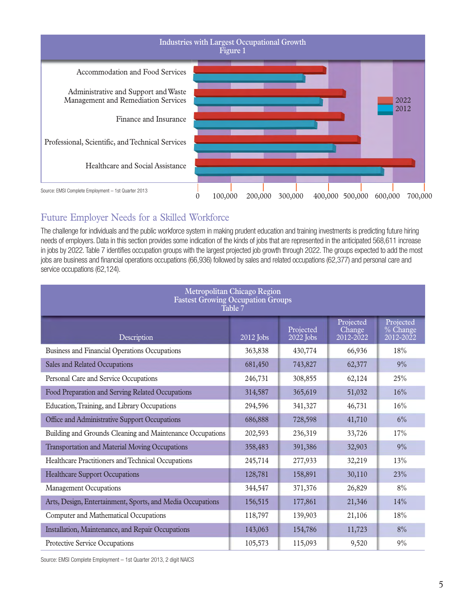

# Future Employer Needs for a Skilled Workforce

The challenge for individuals and the public workforce system in making prudent education and training investments is predicting future hiring needs of employers. Data in this section provides some indication of the kinds of jobs that are represented in the anticipated 568,611 increase in jobs by 2022. Table 7 identifies occupation groups with the largest projected job growth through 2022. The groups expected to add the most jobs are business and financial operations occupations (66,936) followed by sales and related occupations (62,377) and personal care and service occupations (62,124).

| <b>Metropolitan Chicago Region</b><br><b>Fastest Growing Occupation Groups</b><br>Table 7 |             |                          |                                  |                                    |  |  |  |  |
|-------------------------------------------------------------------------------------------|-------------|--------------------------|----------------------------------|------------------------------------|--|--|--|--|
| Description                                                                               | $2012$ Jobs | Projected<br>$2022$ Jobs | Projected<br>Change<br>2012-2022 | Projected<br>% Change<br>2012-2022 |  |  |  |  |
| Business and Financial Operations Occupations                                             | 363,838     | 430,774                  | 66,936                           | 18%                                |  |  |  |  |
| Sales and Related Occupations                                                             | 681,450     | 743,827                  | 62,377                           | 9%                                 |  |  |  |  |
| Personal Care and Service Occupations                                                     | 246,731     | 308,855                  | 62,124                           | 25%                                |  |  |  |  |
| Food Preparation and Serving Related Occupations                                          | 314,587     | 365,619                  | 51,032                           | 16%                                |  |  |  |  |
| Education, Training, and Library Occupations                                              | 294,596     | 341,327                  | 46,731                           | 16%                                |  |  |  |  |
| Office and Administrative Support Occupations                                             | 686,888     | 728,598                  | 41,710                           | 6%                                 |  |  |  |  |
| Building and Grounds Cleaning and Maintenance Occupations                                 | 202,593     | 236,319                  | 33,726                           | 17%                                |  |  |  |  |
| Transportation and Material Moving Occupations                                            | 358,483     | 391,386                  | 32,903                           | 9%                                 |  |  |  |  |
| Healthcare Practitioners and Technical Occupations                                        | 245,714     | 277,933                  | 32,219                           | 13%                                |  |  |  |  |
| <b>Healthcare Support Occupations</b>                                                     | 128,781     | 158,891                  | 30,110                           | 23%                                |  |  |  |  |
| <b>Management Occupations</b>                                                             | 344,547     | 371,376                  | 26,829                           | 8%                                 |  |  |  |  |
| Arts, Design, Entertainment, Sports, and Media Occupations                                | 156,515     | 177,861                  | 21,346                           | 14%                                |  |  |  |  |
| Computer and Mathematical Occupations                                                     | 118,797     | 139,903                  | 21,106                           | 18%                                |  |  |  |  |
| Installation, Maintenance, and Repair Occupations                                         | 143,063     | 154,786                  | 11,723                           | 8%                                 |  |  |  |  |
| Protective Service Occupations                                                            | 105,573     | 115,093                  | 9,520                            | 9%                                 |  |  |  |  |

Source: EMSI Complete Employment – 1st Quarter 2013, 2 digit NAICS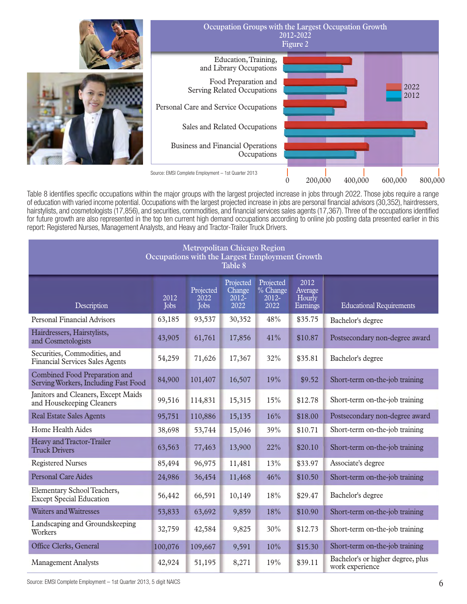

Table 8 identifies specific occupations within the major groups with the largest projected increase in jobs through 2022. Those jobs require a range of education with varied income potential. Occupations with the largest projected increase in jobs are personal financial advisors (30,352), hairdressers, hairstylists, and cosmetologists (17,856), and securities, commodities, and financial services sales agents (17,367). Three of the occupations identified for future growth are also represented in the top ten current high demand occupations according to online job posting data presented earlier in this report: Registered Nurses, Management Analysts, and Heavy and Tractor-Trailer Truck Drivers.

| <b>Metropolitan Chicago Region</b><br>Occupations with the Largest Employment Growth<br>Table 8 |              |                                        |                                         |                                              |                                       |                                                      |  |
|-------------------------------------------------------------------------------------------------|--------------|----------------------------------------|-----------------------------------------|----------------------------------------------|---------------------------------------|------------------------------------------------------|--|
| Description                                                                                     | 2012<br>Jobs | Projected<br>$\overline{20}22$<br>Jobs | Projected<br>Change<br>$2012 -$<br>2022 | Projected<br>$\%$ Change<br>$2012 -$<br>2022 | 2012<br>Average<br>Hourly<br>Earnings | <b>Educational Requirements</b>                      |  |
| <b>Personal Financial Advisors</b>                                                              | 63,185       | 93,537                                 | 30,352                                  | 48%                                          | \$35.75                               | Bachelor's degree                                    |  |
| Hairdressers, Hairstylists,<br>and Cosmetologists                                               | 43,905       | 61,761                                 | 17,856                                  | 41%                                          | \$10.87                               | Postsecondary non-degree award                       |  |
| Securities, Commodities, and<br><b>Financial Services Sales Agents</b>                          | 54,259       | 71,626                                 | 17,367                                  | 32%                                          | \$35.81                               | Bachelor's degree                                    |  |
| Combined Food Preparation and<br>Serving Workers, Including Fast Food                           | 84,900       | 101,407                                | 16,507                                  | 19%                                          | \$9.52                                | Short-term on-the-job training                       |  |
| Janitors and Cleaners, Except Maids<br>and Housekeeping Cleaners                                | 99,516       | 114,831                                | 15,315                                  | 15%                                          | \$12.78                               | Short-term on-the-job training                       |  |
| <b>Real Estate Sales Agents</b>                                                                 | 95,751       | 110,886                                | 15,135                                  | 16%                                          | \$18.00                               | Postsecondary non-degree award                       |  |
| Home Health Aides                                                                               | 38,698       | 53,744                                 | 15,046                                  | 39%                                          | \$10.71                               | Short-term on-the-job training                       |  |
| Heavy and Tractor-Trailer<br><b>Truck Drivers</b>                                               | 63,563       | 77,463                                 | 13,900                                  | 22%                                          | \$20.10                               | Short-term on-the-job training                       |  |
| <b>Registered Nurses</b>                                                                        | 85,494       | 96,975                                 | 11,481                                  | 13%                                          | \$33.97                               | Associate's degree                                   |  |
| <b>Personal Care Aides</b>                                                                      | 24,986       | 36,454                                 | 11,468                                  | 46%                                          | \$10.50                               | Short-term on-the-job training                       |  |
| Elementary School Teachers,<br><b>Except Special Education</b>                                  | 56,442       | 66,591                                 | 10,149                                  | 18%                                          | \$29.47                               | Bachelor's degree                                    |  |
| <b>Waiters and Waitresses</b>                                                                   | 53,833       | 63,692                                 | 9,859                                   | 18%                                          | \$10.90                               | Short-term on-the-job training                       |  |
| Landscaping and Groundskeeping<br>Workers                                                       | 32,759       | 42,584                                 | 9,825                                   | 30%                                          | \$12.73                               | Short-term on-the-job training                       |  |
| Office Clerks, General                                                                          | 100,076      | 109,667                                | 9,591                                   | 10%                                          | \$15.30                               | Short-term on-the-job training                       |  |
| <b>Management Analysts</b>                                                                      | 42,924       | 51,195                                 | 8,271                                   | 19%                                          | \$39.11                               | Bachelor's or higher degree, plus<br>work experience |  |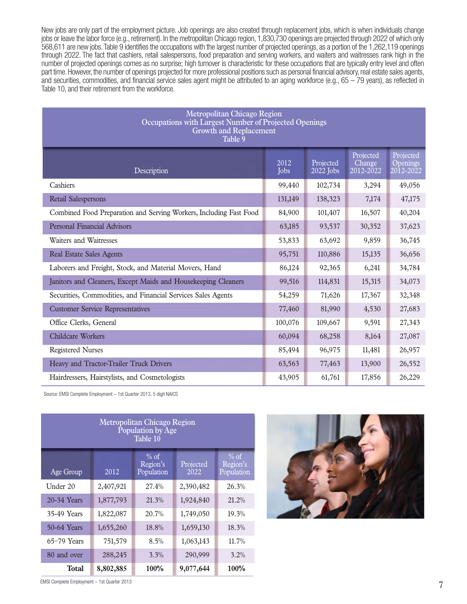New jobs are only part of the employment picture. Job openings are also created through replacement jobs, which is when individuals change jobs or leave the labor force (e.g., retirement). In the metropolitan Chicago region, 1,830,730 openings are projected through 2022 of which only 568,611 are new jobs. Table 9 identifies the occupations with the largest number of projected openings, as a portion of the 1,262,119 openings through 2022. The fact that cashiers, retail salespersons, food preparation and serving workers, and waiters and waitresses rank high in the number of projected openings comes as no surprise; high turnover is characteristic for these occupations that are typically entry level and often part time. However, the number of openings projected for more professional positions such as personal financial advisory, real estate sales agents, and securities, commodities, and financial service sales agent might be attributed to an aging workforce (e.g., 65 – 79 years), as reflected in Table 10, and their retirement from the workforce.

| <b>Metropolitan Chicago Region</b><br>Occupations with Largest Number of Projected Openings<br><b>Growth and Replacement</b><br>Table 9 |              |                          |                                  |                                    |  |  |  |  |
|-----------------------------------------------------------------------------------------------------------------------------------------|--------------|--------------------------|----------------------------------|------------------------------------|--|--|--|--|
| Description                                                                                                                             | 2012<br>Jobs | Projected<br>$2022$ Jobs | Projected<br>Change<br>2012-2022 | Projected<br>Openings<br>2012-2022 |  |  |  |  |
| Cashiers                                                                                                                                | 99,440       | 102,734                  | 3,294                            | 49,056                             |  |  |  |  |
| <b>Retail Salespersons</b>                                                                                                              | 131,149      | 138,323                  | 7,174                            | 47,175                             |  |  |  |  |
| Combined Food Preparation and Serving Workers, Including Fast Food                                                                      | 84,900       | 101,407                  | 16,507                           | 40,204                             |  |  |  |  |
| <b>Personal Financial Advisors</b>                                                                                                      | 63,185       | 93,537                   | 30,352                           | 37,623                             |  |  |  |  |
| Waiters and Waitresses                                                                                                                  | 53,833       | 63,692                   | 9,859                            | 36,745                             |  |  |  |  |
| <b>Real Estate Sales Agents</b>                                                                                                         | 95,751       | 110,886                  | 15,135                           | 36,656                             |  |  |  |  |
| Laborers and Freight, Stock, and Material Movers, Hand                                                                                  | 86,124       | 92,365                   | 6,241                            | 34,784                             |  |  |  |  |
| Janitors and Cleaners, Except Maids and Housekeeping Cleaners                                                                           | 99,516       | 114,831                  | 15,315                           | 34,073                             |  |  |  |  |
| Securities, Commodities, and Financial Services Sales Agents                                                                            | 54,259       | 71,626                   | 17,367                           | 32,348                             |  |  |  |  |
| <b>Customer Service Representatives</b>                                                                                                 | 77,460       | 81,990                   | 4,530                            | 27,683                             |  |  |  |  |
| Office Clerks, General                                                                                                                  | 100,076      | 109,667                  | 9,591                            | 27,343                             |  |  |  |  |
| <b>Childcare Workers</b>                                                                                                                | 60,094       | 68,258                   | 8,164                            | 27,087                             |  |  |  |  |
| <b>Registered Nurses</b>                                                                                                                | 85,494       | 96,975                   | 11,481                           | 26,957                             |  |  |  |  |
| Heavy and Tractor-Trailer Truck Drivers                                                                                                 | 63,563       | 77,463                   | 13,900                           | 26,552                             |  |  |  |  |
| Hairdressers, Hairstylists, and Cosmetologists                                                                                          | 43,905       | 61,761                   | 17,856                           | 26,229                             |  |  |  |  |

Source: EMSI Complete Employment – 1st Quarter 2013, 5 digit NAICS

| <b>Metropolitan Chicago Region</b><br>Population by Age<br>Table 10 |           |                                            |                   |                                  |  |  |  |  |
|---------------------------------------------------------------------|-----------|--------------------------------------------|-------------------|----------------------------------|--|--|--|--|
| Age Group                                                           | 2012      | $\frac{0}{6}$ of<br>Region's<br>Population | Projected<br>2022 | $%$ of<br>Region's<br>Population |  |  |  |  |
| Under 20                                                            | 2,407,921 | 27.4%                                      | 2,390,482         | 26.3%                            |  |  |  |  |
| 20-34 Years                                                         | 1,877,793 | 21.3%                                      | 1,924,840         | 21.2%                            |  |  |  |  |
| 35-49 Years                                                         | 1,822,087 | 20.7%                                      | 1,749,050         | 19.3%                            |  |  |  |  |
| 50-64 Years                                                         | 1,655,260 | 18.8%                                      | 1,659,130         | 18.3%                            |  |  |  |  |
| $65-79$ Years                                                       | 751,579   | 8.5%                                       | 1,063,143         | 11.7%                            |  |  |  |  |
| 80 and over                                                         | 288,245   | 3.3%                                       | 290,999           | 3.2%                             |  |  |  |  |
| Total                                                               | 8,802,885 | 100%                                       | 9,077,644         | 100%                             |  |  |  |  |



EMSI Complete Employment – 1st Quarter 2013